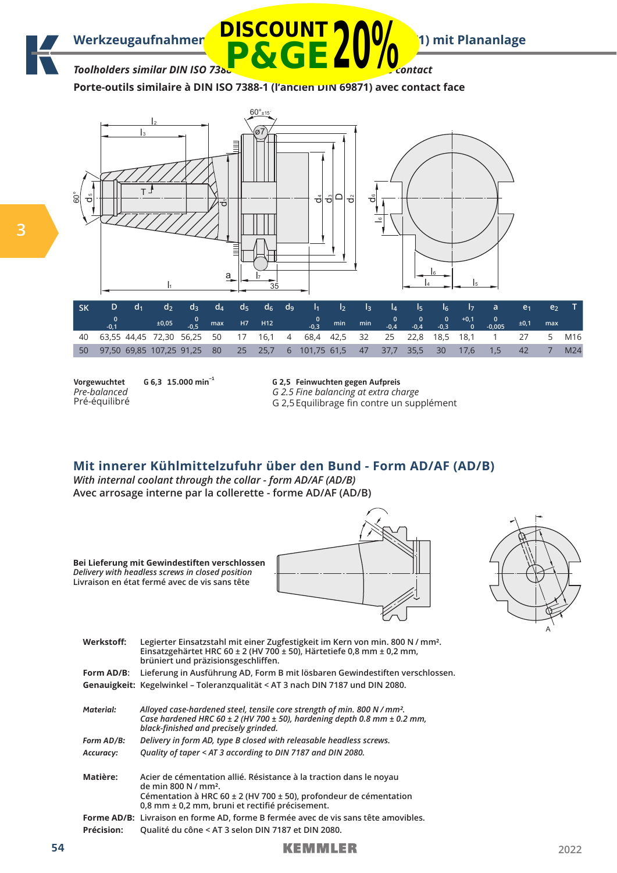

*Toolholders similar DIN ISO 7388* **P&GE20%**

**Porte-outils similaire à DIN ISO 7388-1 (l'ancien DIN 69871) avec contact face**



|                                                                                  |  |  |  |  |  |  |  | d2 d3 d4 d5 d6 d9 l1 l2 l3 l4 l5 l6 l7 a e1 e2 |            |     |
|----------------------------------------------------------------------------------|--|--|--|--|--|--|--|------------------------------------------------|------------|-----|
|                                                                                  |  |  |  |  |  |  |  |                                                |            |     |
| 40 63,55 44,45 72,30 56,25 50 17 16,1 4 68,4 42,5 32 25 22,8 18,5 18,1           |  |  |  |  |  |  |  |                                                | 1 27 5 M16 |     |
| 50 97,50 69,85 107,25 91,25 80 25 25,7 6 101,75 61,5 47 37,7 35,5 30 17,6 1,5 42 |  |  |  |  |  |  |  |                                                |            | M24 |

**Vorgewuchtet** *Pre-balanced* Pré-équilibré

**3**

**G 6,3 15.000 min–1**

**G 2,5 Feinwuchten gegen Aufpreis** *G 2.5 Fine balancing at extra charge* G 2,5 Equilibrage fin contre un supplément

## **Mit innerer Kühlmittelzufuhr über den Bund - Form AD/AF (AD/B)**

*With internal coolant through the collar - form AD/AF (AD/B)* **Avec arrosage interne par la collerette - forme AD/AF (AD/B)**

**Werkstoff: Legierter Einsatzstahl mit einer Zugfestigkeit im Kern von min. 800 N / mm². Einsatzgehärtet HRC 60 ± 2 (HV 700 ± 50), Härtetiefe 0,8 mm ± 0,2 mm, brüniert und präzisionsgeschliffen. Form AD/B: Lieferung in Ausführung AD, Form B mit lösbaren Gewindestiften verschlossen. Genauigkeit: Kegelwinkel – Toleranzqualität < AT 3 nach DIN 7187 und DIN 2080. Material:** *Alloyed case-hardened steel, tensile core strength of min. 800 N / mm². Case hardened HRC 60 ± 2 (HV 700 ± 50), hardening depth 0.8 mm ± 0.2 mm, black-finished and precisely grinded.* **Bei Lieferung mit Gewindestiften verschlossen**  *Delivery with headless screws in closed position*  **Livraison en état fermé avec de vis sans tête**

**Form AD/B:** *Delivery in form AD, type B closed with releasable headless screws.* **Accuracy:** *Quality of taper < AT 3 according to DIN 7187 and DIN 2080.*

**Matière: Acier de cémentation allié. Résistance à la traction dans le noyau de min 800 N / mm². Cémentation à HRC 60 ± 2 (HV 700 ± 50), profondeur de cémentation 0,8 mm ± 0,2 mm, bruni et rectifié précisement. Forme AD/B: Livraison en forme AD, forme B fermée avec de vis sans tête amovibles. Précision: Qualité du cône < AT 3 selon DIN 7187 et DIN 2080.**

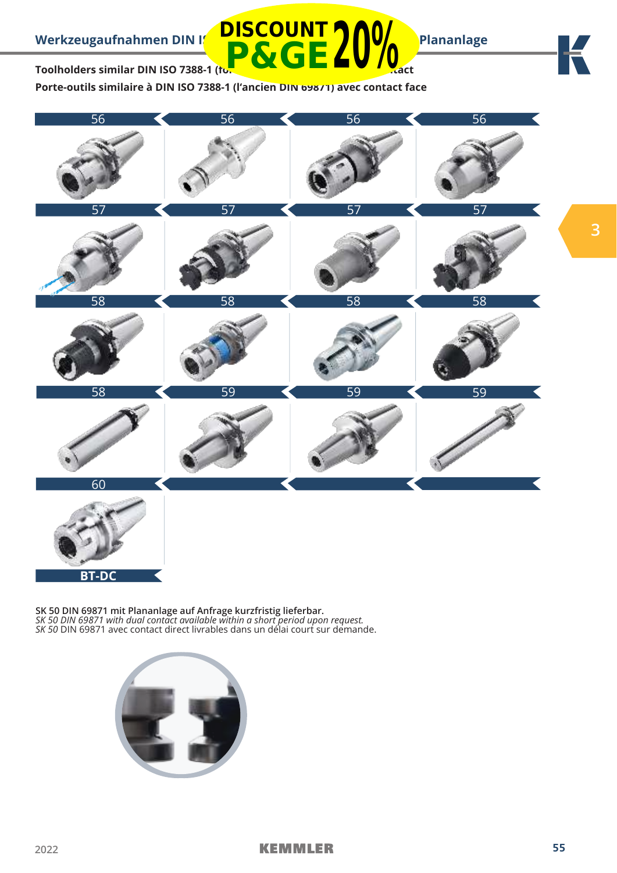

Toolholders similar DIN ISO 7388-1 (formerly DIN 69871) water **P&GE20%**

**Porte-outils similaire à DIN ISO 7388-1 (l'ancien DIN 69871) avec contact face**

**DISCOUNT**



**SK 50 DIN 69871 mit Plananlage auf Anfrage kurzfristig lieferbar.** *SK 50 DIN 69871 with dual contact available within a short period upon request. SK 50* DIN 69871 avec contact direct livrables dans un délai court sur demande.

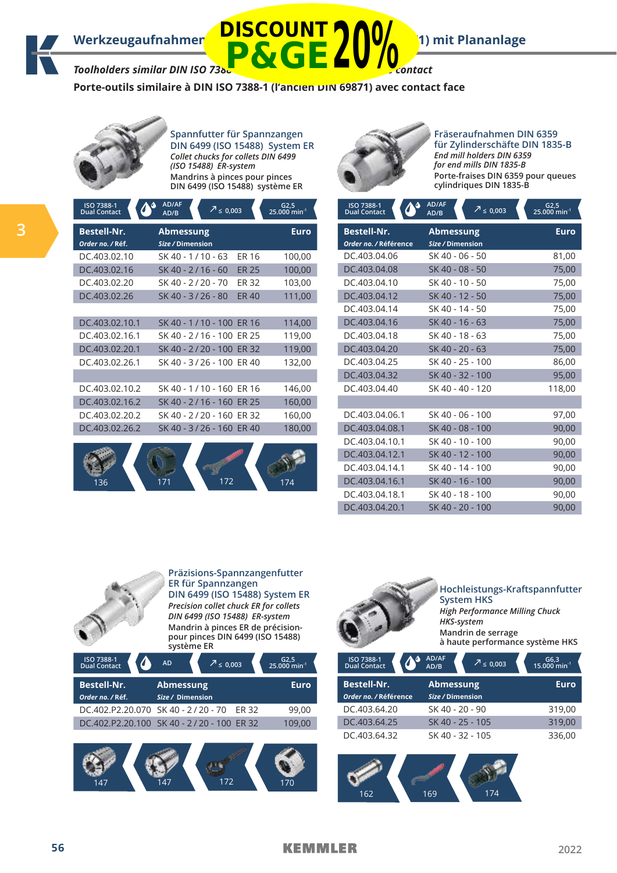Werkzeugaufnahmen **DISCOUNT (1) MOMENT 1)** mit Plananlage

# *Toolholders similar DIN ISO 7388* **P&GE20%**

**Porte-outils similaire à DIN ISO 7388-1 (l'ancien DIN 69871) avec contact face**



**Spannfutter für Spannzangen DIN 6499 (ISO 15488) System ER** *Collet chucks for collets DIN 6499 (ISO 15488) ER-system* **Mandrins à pinces pour pinces DIN 6499 (ISO 15488) système ER**



**Fräseraufnahmen DIN 6359 für Zylinderschäfte DIN 1835-B** *End mill holders DIN 6359 for end mills DIN 1835-B* **Porte-fraises DIN 6359 pour queues cylindriques DIN 1835-B**

|   | ISO 7388-1<br><b>Dual Contact</b>      | AD/AF<br>$2 \le 0,003$<br>AD/B       | $G2,5$<br>25.000 min <sup>-1</sup> |
|---|----------------------------------------|--------------------------------------|------------------------------------|
| 3 | <b>Bestell-Nr.</b><br>Order no. / Réf. | <b>Abmessung</b><br>Size / Dimension | <b>Euro</b>                        |
|   | DC.403.02.10                           | SK 40 - 1/10 - 63<br>ER 16           | 100,00                             |
|   | DC.403.02.16                           | SK 40 - 2/16 - 60<br><b>ER 25</b>    | 100,00                             |
|   | DC.403.02.20                           | SK 40 - 2/20 - 70<br>ER 32           | 103,00                             |
|   | DC.403.02.26                           | SK 40 - 3/26 - 80<br><b>ER 40</b>    | 111,00                             |
|   |                                        |                                      |                                    |
|   | DC.403.02.10.1                         | SK 40 - 1 / 10 - 100 ER 16           | 114,00                             |
|   | DC.403.02.16.1                         | SK 40 - 2/16 - 100 ER 25             | 119,00                             |
|   | DC.403.02.20.1                         | SK 40 - 2/20 - 100 ER 32             | 119,00                             |
|   | DC.403.02.26.1                         | SK 40 - 3/26 - 100 ER 40             | 132,00                             |
|   |                                        |                                      |                                    |
|   | DC.403.02.10.2                         | SK 40 - 1/10 - 160 ER 16             | 146,00                             |
|   | DC.403.02.16.2                         | SK 40 - 2/16 - 160 ER 25             | 160,00                             |
|   | DC.403.02.20.2                         | SK 40 - 2/20 - 160 ER 32             | 160,00                             |
|   | DC.403.02.26.2                         | SK 40 - 3/26 - 160 ER 40             | 180,00                             |
|   |                                        |                                      |                                    |

136 171 172 174

| AD/AF<br>$2^{7}$ $\leq$ 0,003<br>AD/B | G2,5<br>25.000 min <sup>-1</sup> |
|---------------------------------------|----------------------------------|
| <b>Abmessung</b><br>Size / Dimension  | <b>Euro</b>                      |
| SK 40 - 06 - 50                       | 81,00                            |
| SK 40 - 08 - 50                       | 75,00                            |
| SK 40 - 10 - 50                       | 75,00                            |
| SK 40 - 12 - 50                       | 75,00                            |
| SK 40 - 14 - 50                       | 75,00                            |
| SK 40 - 16 - 63                       | 75,00                            |
| SK 40 - 18 - 63                       | 75,00                            |
| SK 40 - 20 - 63                       | 75,00                            |
| SK 40 - 25 - 100                      | 86,00                            |
| SK 40 - 32 - 100                      | 95,00                            |
| SK 40 - 40 - 120                      | 118,00                           |
|                                       |                                  |
| SK 40 - 06 - 100                      | 97,00                            |
| SK 40 - 08 - 100                      | 90,00                            |
| SK 40 - 10 - 100                      | 90,00                            |
| SK 40 - 12 - 100                      | 90,00                            |
| SK 40 - 14 - 100                      | 90,00                            |
| SK 40 - 16 - 100                      | 90,00                            |
| SK 40 - 18 - 100                      | 90,00                            |
| SK 40 - 20 - 100                      | 90,00                            |
|                                       |                                  |







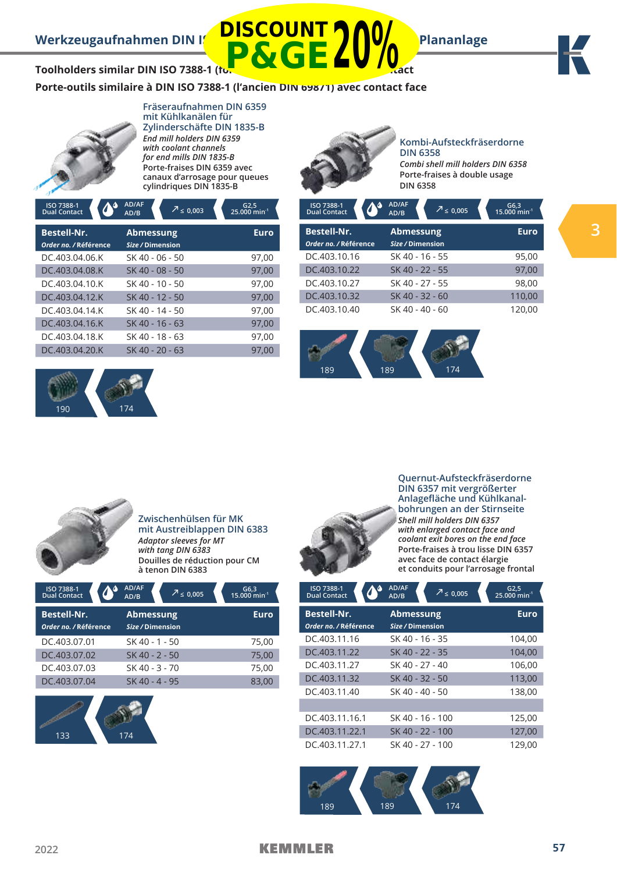**Kombi-Aufsteckfräserdorne** 



**Toolholders similar DIN ISO 7388-1 (form) P&GE20%**

**Porte-outils similaire à DIN ISO 7388-1 (l'ancien DIN 69871) avec contact face**

**DISCOUNT**



### **Fräseraufnahmen DIN 6359 mit Kühlkanälen für Zylinderschäfte DIN 1835-B** *End mill holders DIN 6359 with coolant channels for end mills DIN 1835-B* **Porte-fraises DIN 6359 avec**

**canaux d'arrosage pour queues cylindriques DIN 1835-B**

| ISO 7388-1<br><b>Dual Contact</b>           | AD/AF<br>$\sqrt{2} \leq 0,003$<br>AD/B | $G2,5$<br>25.000 min <sup>-1</sup> | ISO 7388-1<br><b>Dual Contact</b>           | AD/AF<br>$\sqrt{2} \leq 0,005$<br>AD/B | G6,3<br>15.000 min <sup>-1</sup> |
|---------------------------------------------|----------------------------------------|------------------------------------|---------------------------------------------|----------------------------------------|----------------------------------|
| <b>Bestell-Nr.</b><br>Order no. / Référence | <b>Abmessung</b><br>Size / Dimension   | <b>Euro</b>                        | <b>Bestell-Nr.</b><br>Order no. / Référence | <b>Abmessung</b><br>Size / Dimension   | <b>Euro</b>                      |
| DC.403.04.06.K                              | SK 40 - 06 - 50                        | 97,00                              | DC.403.10.16                                | SK 40 - 16 - 55                        | 95,00                            |
| DC.403.04.08.K                              | SK 40 - 08 - 50                        | 97,00                              | DC.403.10.22                                | SK 40 - 22 - 55                        | 97,00                            |
| DC.403.04.10.K                              | SK 40 - 10 - 50                        | 97,00                              | DC.403.10.27                                | SK 40 - 27 - 55                        | 98,00                            |
| DC.403.04.12.K                              | SK 40 - 12 - 50                        | 97,00                              | DC.403.10.32                                | SK 40 - 32 - 60                        | 110,00                           |
| DC.403.04.14.K                              | SK 40 - 14 - 50                        | 97,00                              | DC.403.10.40                                | SK 40 - 40 - 60                        | 120.00                           |
| DC.403.04.16.K                              | SK 40 - 16 - 63                        | 97,00                              |                                             |                                        |                                  |
| DC.403.04.18.K                              | SK 40 - 18 - 63                        | 97,00                              |                                             |                                        |                                  |
| DC.403.04.20.K                              | SK 40 - 20 - 63                        | 97,00                              |                                             |                                        |                                  |





| <b>Bestell-Nr.</b>    | <b>Abmessung</b> | Euro   |
|-----------------------|------------------|--------|
| Order no. / Référence | Size / Dimension |        |
| DC.403.10.16          | SK 40 - 16 - 55  | 95,00  |
| DC.403.10.22          | SK 40 - 22 - 55  | 97,00  |
| DC.403.10.27          | SK 40 - 27 - 55  | 98,00  |
| DC.403.10.32          | SK 40 - 32 - 60  | 110,00 |
| DC.403.10.40          | SK 40 - 40 - 60  | 120,00 |



**Zwischenhülsen für MK mit Austreiblappen DIN 6383**  *Adaptor sleeves for MT with tang DIN 6383* **Douilles de réduction pour CM à tenon DIN 6383**

| ISO 7388-1<br><b>Dual Contact</b> | AD/AF<br>$\sqrt{2}$ ≤ 0.005<br>AD/B | G6,3<br>15.000 min <sup>-1</sup> |
|-----------------------------------|-------------------------------------|----------------------------------|
| <b>Bestell-Nr.</b>                | <b>Abmessung</b>                    | <b>Euro</b>                      |
| Order no. / Référence             | Size / Dimension                    |                                  |
| DC.403.07.01                      | SK 40 - 1 - 50                      | 75,00                            |
| DC.403.07.02                      | SK 40 - 2 - 50                      | 75,00                            |
| DC.403.07.03                      | SK 40 - 3 - 70                      | 75,00                            |
| DC.403.07.04                      | SK 40 - 4 - 95                      | 83,00                            |





**Quernut-Aufsteckfräserdorne DIN 6357 mit vergrößerter Anlagefläche und Kühlkanalbohrungen an der Stirnseite** *Shell mill holders DIN 6357 with enlarged contact face and coolant exit bores on the end face* **Porte-fraises à trou lisse DIN 6357 avec face de contact élargie et conduits pour l'arrosage frontal**

| ISO 7388-1<br><b>Dual Contact</b>           | AD/AF<br>$\overline{7} \leq 0.005$<br>AD/B | $G2,5$<br>25.000 min <sup>-1</sup> |
|---------------------------------------------|--------------------------------------------|------------------------------------|
| <b>Bestell-Nr.</b><br>Order no. / Référence | <b>Abmessung</b><br>Size / Dimension       | <b>Euro</b>                        |
| DC.403.11.16                                | SK 40 - 16 - 35                            | 104,00                             |
| DC.403.11.22                                | SK 40 - 22 - 35                            | 104,00                             |
| DC.403.11.27                                | SK 40 - 27 - 40                            | 106,00                             |
| DC.403.11.32                                | SK 40 - 32 - 50                            | 113,00                             |
| DC.403.11.40                                | SK 40 - 40 - 50                            | 138,00                             |
|                                             |                                            |                                    |
| DC.403.11.16.1                              | SK 40 - 16 - 100                           | 125,00                             |
| DC.403.11.22.1                              | SK 40 - 22 - 100                           | 127,00                             |
| DC.403.11.27.1                              | SK 40 - 27 - 100                           | 129,00                             |

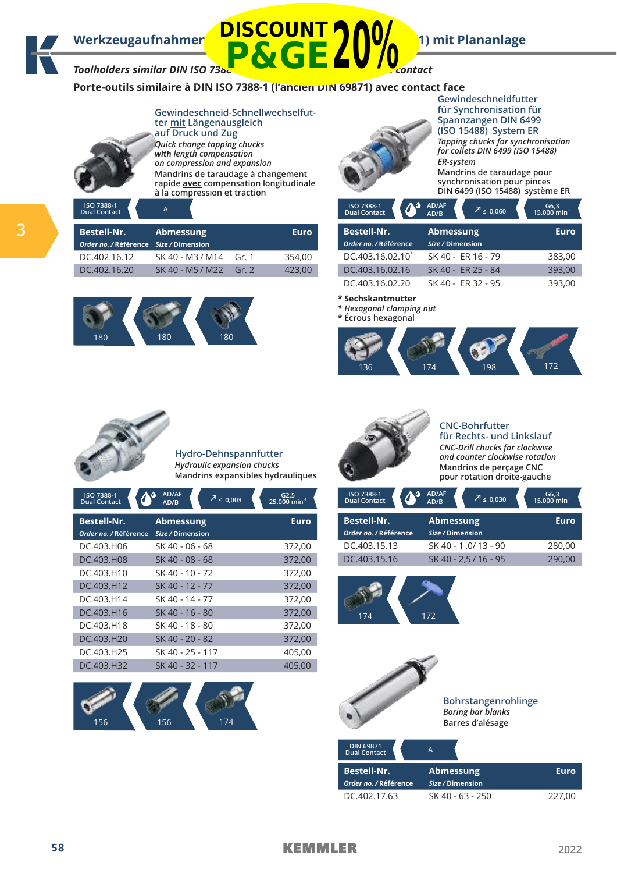# Werkzeugaufnahmen **DISCOUNT (1) MOMENT 1)** mit Plananlage Toolholders similar DIN ISO 7388-1 (formerly DIN 69871) with face contact **P&GE20%**

**Porte-outils similaire à DIN ISO 7388-1 (l'ancien DIN 69871) avec contact face**



**Gewindeschneid-Schnellwechselfutter mit Längenausgleich auf Druck und Zug** *Quick change tapping chucks*  **with** *length compensation on compression and expansion* **Mandrins de taraudage à changement rapide avec compensation longitudinale à la compression et traction**



**ISO 7388-1 Dual Contact <sup>A</sup>**

|  | <b>Bestell-Nr.</b><br>Order no. / Référence Size / Dimension | Abmessung              |         | <b>Euro</b> | <b>Bestell-Nr.</b><br>Order no. / Référence | Abmessung<br>Size / Dimension | Euro   |  |
|--|--------------------------------------------------------------|------------------------|---------|-------------|---------------------------------------------|-------------------------------|--------|--|
|  | DC.402.16.12                                                 | SK 40 - M3 / M14 Gr. 1 |         | 354.00      | DC.403.16.02.10 <sup>*</sup>                | SK 40 - ER 16 - 79            | 383,00 |  |
|  | DC.402.16.20                                                 | SK 40 - M5 / M22       | Gr. $2$ | 423,00      | DC.403.16.02.16                             | SK 40 - ER 25 - 84            | 393,00 |  |





**Gewindeschneidfutter für Synchronisation für Spannzangen DIN 6499 (ISO 15488) System ER** *Tapping chucks for synchronisation for collets DIN 6499 (ISO 15488) ER-system* **Mandrins de taraudage pour synchronisation pour pinces DIN 6499 (ISO 15488) système ER**

| ISO 7388-1<br><b>Dual Contact</b> | AD/AF<br>AD/B | $\sqrt{7}$ $\leq$ 0,060 | G6,3<br>15.000 min <sup>-1</sup> |  |
|-----------------------------------|---------------|-------------------------|----------------------------------|--|
| <b>Bestell-Nr.</b>                |               | <b>Abmessung</b>        | <b>Euro</b>                      |  |
| Order no. / Référence             |               | Size / Dimension        |                                  |  |
| DC.403.16.02.10 <sup>*</sup>      |               | SK 40 - ER 16 - 79      | 383,00                           |  |
| DC.403.16.02.16                   |               | SK 40 - ER 25 - 84      | 393,00                           |  |
| DC.403.16.02.20                   |               | SK 40 - ER 32 - 95      | 393,00                           |  |

**\* Sechskantmutter** 

*\* Hexagonal clamping nut* 







**Hydro-Dehnspannfutter** *Hydraulic expansion chucks* **Mandrins expansibles hydrauliques**

| ISO 7388-1<br><b>Dual Contact</b>           | AD/AF<br>$\frac{7}{5}$ ≤ 0,003<br>AD/B | G2,5<br><sup>1</sup> 25.000 min |
|---------------------------------------------|----------------------------------------|---------------------------------|
| <b>Bestell-Nr.</b><br>Order no. / Référence | <b>Abmessung</b><br>Size / Dimension   | <b>Euro</b>                     |
| DC.403.H06                                  | SK 40 - 06 - 68                        | 372,00                          |
| DC.403.H08                                  | SK 40 - 08 - 68                        | 372,00                          |
| DC.403.H10                                  | SK 40 - 10 - 72                        | 372,00                          |
| DC.403.H12                                  | SK 40 - 12 - 77                        | 372,00                          |
| DC.403.H14                                  | SK 40 - 14 - 77                        | 372,00                          |
| DC.403.H16                                  | SK 40 - 16 - 80                        | 372,00                          |
| DC.403.H18                                  | SK 40 - 18 - 80                        | 372,00                          |
| DC.403.H20                                  | SK 40 - 20 - 82                        | 372,00                          |
| DC.403.H25                                  | SK 40 - 25 - 117                       | 405,00                          |
| DC.403.H32                                  | SK 40 - 32 - 117                       | 405,00                          |





### **CNC-Bohrfutter**

**für Rechts- und Linkslauf** *CNC-Drill chucks for clockwise and counter clockwise rotation* **Mandrins de perçage CNC pour rotation droite-gauche**

| ISO 7388-1<br><b>Dual Contact</b>           | AD/AF<br>AD/B                        | $\sqrt{7}$ $\leq$ 0,030 | G6,3<br>15.000 min <sup>-1</sup> |
|---------------------------------------------|--------------------------------------|-------------------------|----------------------------------|
| <b>Bestell-Nr.</b><br>Order no. / Référence | <b>Abmessung</b><br>Size / Dimension |                         | Euro                             |
| DC.403.15.13                                |                                      | SK 40 - 1,0/13 - 90     | 280,00                           |
| DC.403.15.16                                |                                      | SK 40 - 2,5 / 16 - 95   | 290.00                           |





| <u>PULLER LA PULLE</u><br><b>Dual Contact</b> | A                                    |        |
|-----------------------------------------------|--------------------------------------|--------|
| <b>Bestell-Nr.</b><br>Order no. / Référence   | <b>Abmessung</b><br>Size / Dimension | Euro   |
| DC 402.17.63                                  | SK 40 - 63 - 250                     | 227.00 |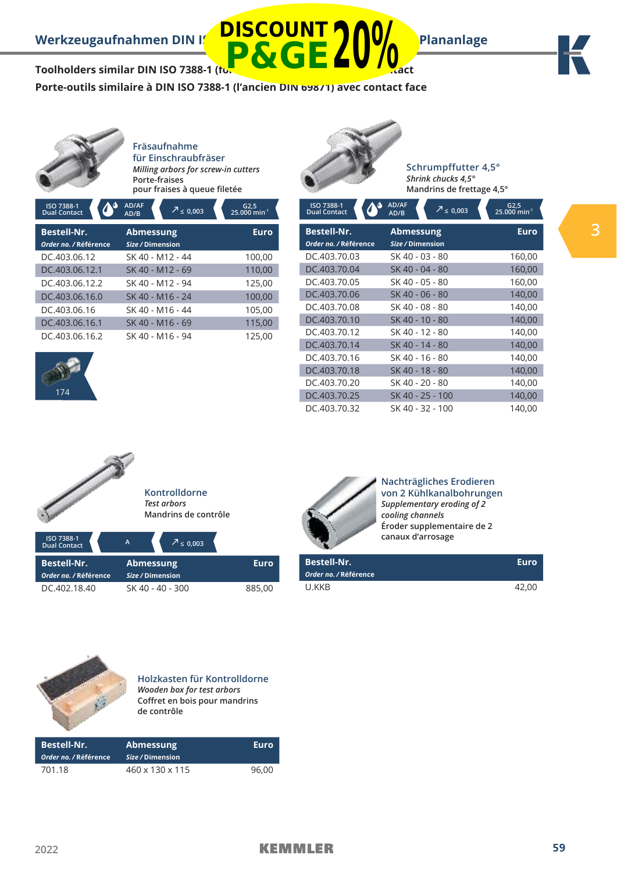**Schrumpffutter 4,5°** *Shrink chucks 4,5°* **Mandrins de frettage 4,5°**



Toolholders similar DIN ISO 7388-1 (for

**Porte-outils similaire à DIN ISO 7388-1 (l'ancien DIN 69871) avec contact face**

**DISCOUNT**

**P&GE20%**



**Fräsaufnahme für Einschraubfräser** *Milling arbors for screw-in cutters* **Porte-fraises** 

**pour fraises à queue filetée**

| ISO 7388-1<br><b>Dual Contact</b> | AD/AF<br>$\overline{2}$ $\leq$ 0,003<br>AD/B | $G2,5$<br>25.000 min <sup>-1</sup> |
|-----------------------------------|----------------------------------------------|------------------------------------|
| <b>Bestell-Nr.</b>                | <b>Abmessung</b>                             | <b>Euro</b>                        |
| Order no. / Référence             | Size / Dimension                             |                                    |
| DC.403.06.12                      | SK 40 - M12 - 44                             | 100,00                             |
| DC.403.06.12.1                    | SK 40 - M12 - 69                             | 110,00                             |
| DC.403.06.12.2                    | SK 40 - M12 - 94                             | 125,00                             |
| DC.403.06.16.0                    | SK 40 - M16 - 24                             | 100,00                             |
| DC.403.06.16                      | SK 40 - M16 - 44                             | 105,00                             |
| DC.403.06.16.1                    | SK 40 - M16 - 69                             | 115,00                             |
| DC.403.06.16.2                    | SK 40 - M16 - 94                             | 125,00                             |



| ISO 7388-1<br><b>Dual Contact</b>           | AD/AF<br>$\sqrt{7} \leq 0.003$<br>AD/B | $G2,5$<br>25.000 min <sup>-1</sup> |
|---------------------------------------------|----------------------------------------|------------------------------------|
| <b>Bestell-Nr.</b><br>Order no. / Référence | <b>Abmessung</b><br>Size / Dimension   | Euro                               |
| DC.403.70.03                                | SK 40 - 03 - 80                        | 160,00                             |
| DC.403.70.04                                | SK 40 - 04 - 80                        | 160,00                             |
| DC.403.70.05                                | SK 40 - 05 - 80                        | 160,00                             |
| DC.403.70.06                                | SK 40 - 06 - 80                        | 140,00                             |
| DC.403.70.08                                | SK 40 - 08 - 80                        | 140,00                             |
| DC.403.70.10                                | SK 40 - 10 - 80                        | 140,00                             |
| DC.403.70.12                                | SK 40 - 12 - 80                        | 140,00                             |
| DC.403.70.14                                | SK 40 - 14 - 80                        | 140,00                             |
| DC.403.70.16                                | SK 40 - 16 - 80                        | 140,00                             |
| DC.403.70.18                                | SK 40 - 18 - 80                        | 140,00                             |
| DC.403.70.20                                | SK 40 - 20 - 80                        | 140,00                             |
| DC.403.70.25                                | SK 40 - 25 - 100                       | 140,00                             |
| DC.403.70.32                                | SK 40 - 32 - 100                       | 140,00                             |



| риагсоник.            |                  |        |
|-----------------------|------------------|--------|
| <b>Bestell-Nr.</b>    | <b>Abmessung</b> | Euro   |
| Order no. / Référence | Size / Dimension |        |
| DC.402.18.40          | SK 40 - 40 - 300 | 885,00 |



**Nachträgliches Erodieren von 2 Kühlkanalbohrungen** *Supplementary eroding of 2 cooling channels* **Éroder supplementaire de 2 canaux d'arrosage**

| <b>Bestell-Nr.</b>    | Euro  |
|-----------------------|-------|
| Order no. / Référence |       |
| U.KKB                 | 42.00 |



**Holzkasten für Kontrolldorne** *Wooden box for test arbors* **Coffret en bois pour mandrins de contrôle**

| <b>Bestell-Nr.</b><br>Order no. / Référence | <b>Abmessung</b><br>Size / Dimension | Euro  |
|---------------------------------------------|--------------------------------------|-------|
| 701.18                                      | $460 \times 130 \times 115$          | 96.00 |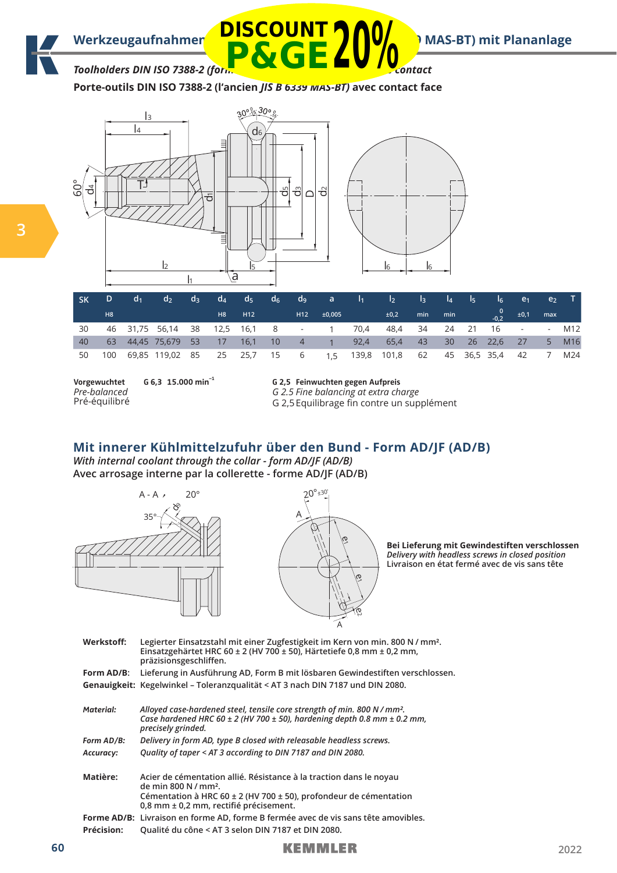

Toolholders DIN ISO 7388-2 (formerly Joseph Bill B 6339 Mass-1 Mass-1 Mass-1 Mass-1 Mass-1 Mass-1 Mass-1 Mass-1 Mass-1 Mass-1 Mass-1 Mass-1 Mass-1 Mass-1 Mass-1 Mass-1 Mass-1 Mass-1 Mass-1 Mass-1 Mass-1 Mass-1 Mass-1 Mass-

**Porte-outils DIN ISO 7388-2 (l'ancien** *JIS B 6339 MAS-BT)* **avec contact face**





|    | D.  | d <sub>1</sub> | $d_{2}$                                      | $d_3$ |                 |            |  |             |      | $\mathsf{d}_4$ $\mathsf{d}_5$ $\mathsf{d}_6$ $\mathsf{d}_9$ a $\mathsf{l}_1$ $\mathsf{l}_2$ $\mathsf{l}_3$ $\mathsf{l}_4$ $\mathsf{l}_5$ |          |     | $\sim$ $\sim$ $\sim$                         | $\sqrt{e_1}$            | e <sub>2</sub> |                 |
|----|-----|----------------|----------------------------------------------|-------|-----------------|------------|--|-------------|------|------------------------------------------------------------------------------------------------------------------------------------------|----------|-----|----------------------------------------------|-------------------------|----------------|-----------------|
|    | H8  |                |                                              |       | H8              | <b>H12</b> |  | H12 ±0,005  |      | ±0,2                                                                                                                                     | min      | min | $\begin{array}{c c} 0 & \pm 0.1 \end{array}$ |                         | max            |                 |
| 30 |     |                | 46 31,75 56,14 38 12,5 16,1 8                |       |                 |            |  | $-1$ 70.4   |      | 48,4                                                                                                                                     | 34 24 21 |     | 16                                           | and the contract of the |                | M12             |
| 40 |     |                | 63 44,45 75,679 53                           |       | $\overline{17}$ | 16,1 10    |  | $4 \quad 1$ | 92,4 | 65,4                                                                                                                                     | 43 30    |     | $26$ 22,6 27                                 |                         | 5              | M <sub>16</sub> |
| 50 | 100 |                | 69,85 119,02 85 25 25,7 15 6 1,5 139,8 101,8 |       |                 |            |  |             |      |                                                                                                                                          |          |     | 62 45 36,5 35,4 42                           |                         | $\overline{7}$ | M24             |

| Vorgewuchtet  | G 6.3 15.000 min <sup>-1</sup> |
|---------------|--------------------------------|
| Pre-balanced  |                                |
| Pré-équilibré |                                |

**G 2,5 Feinwuchten gegen Aufpreis** *G 2.5 Fine balancing at extra charge*

G 2,5 Equilibrage fin contre un supplément

# **Mit innerer Kühlmittelzufuhr über den Bund - Form AD/JF (AD/B)**

*With internal coolant through the collar - form AD/JF (AD/B)* **Avec arrosage interne par la collerette - forme AD/JF (AD/B)**



**Bei Lieferung mit Gewindestiften verschlossen**  *Delivery with headless screws in closed position*  **Livraison en état fermé avec de vis sans tête**

| Werkstoff:        | Legierter Einsatzstahl mit einer Zugfestigkeit im Kern von min. 800 N / mm <sup>2</sup> .<br>Einsatzgehärtet HRC 60 ± 2 (HV 700 ± 50), Härtetiefe 0,8 mm ± 0,2 mm,<br>präzisionsgeschliffen.                                  |
|-------------------|-------------------------------------------------------------------------------------------------------------------------------------------------------------------------------------------------------------------------------|
| Form AD/B:        | Lieferung in Ausführung AD, Form B mit lösbaren Gewindestiften verschlossen.                                                                                                                                                  |
|                   | Genauigkeit: Kegelwinkel - Toleranzqualität < AT 3 nach DIN 7187 und DIN 2080.                                                                                                                                                |
| Material:         | Alloyed case-hardened steel, tensile core strength of min. 800 N / mm <sup>2</sup> .<br>Case hardened HRC 60 $\pm$ 2 (HV 700 $\pm$ 50), hardening depth 0.8 mm $\pm$ 0.2 mm,<br>precisely grinded.                            |
| Form AD/B:        | Delivery in form AD, type B closed with releasable headless screws.                                                                                                                                                           |
| Accuracy:         | Quality of taper < AT 3 according to DIN 7187 and DIN 2080.                                                                                                                                                                   |
| Matière:          | Acier de cémentation allié. Résistance à la traction dans le noyau<br>de min 800 N / mm <sup>2</sup> .<br>Cémentation à HRC 60 $\pm$ 2 (HV 700 $\pm$ 50), profondeur de cémentation<br>0,8 mm ± 0,2 mm, rectifié précisement. |
|                   | Forme AD/B: Livraison en forme AD, forme B fermée avec de vis sans tête amovibles.                                                                                                                                            |
| <b>Précision:</b> | Qualité du cône < AT 3 selon DIN 7187 et DIN 2080.                                                                                                                                                                            |
|                   |                                                                                                                                                                                                                               |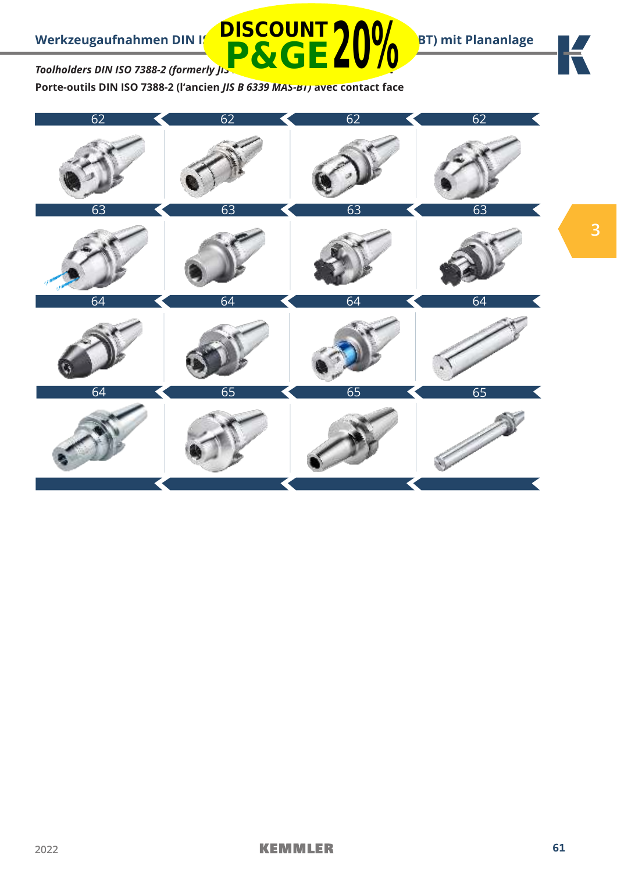

# К

**3**

# *Toolholders DIN ISO 7388-2 (formerly JIS-***P&GE20%**

**Porte-outils DIN ISO 7388-2 (l'ancien** *JIS B 6339 MAS-BT)* **avec contact face**

**DISCOUNT**

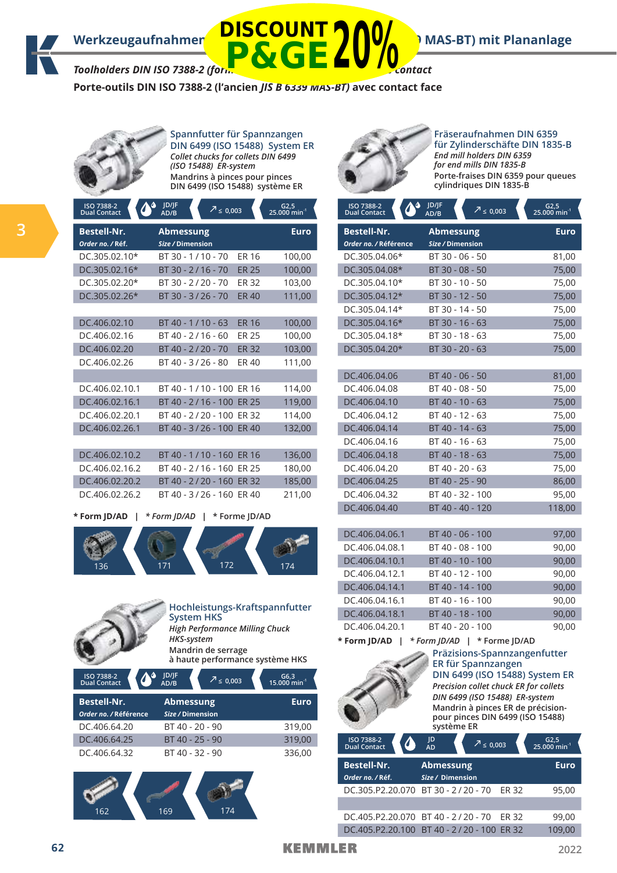## Werkzeugaufnahmen **DISCO 811 (Ed. 1914)** MAS-BT) mit Plananlage

# *Toolholders DIN ISO 7388-2 (formerly JIS B 6339 MAS-BT) with face contact* **P&GE20%**

**Porte-outils DIN ISO 7388-2 (l'ancien** *JIS B 6339 MAS-BT)* **avec contact face**

**DISCOUNT**



**Spannfutter für Spannzangen DIN 6499 (ISO 15488) System ER** *Collet chucks for collets DIN 6499 (ISO 15488) ER-system* **Mandrins à pinces pour pinces DIN 6499 (ISO 15488) système ER**

|   | ISO 7388-2<br>Ο.<br>$\blacklozenge$<br><b>Dual Contact</b> | JD/JF<br>$7 \le 0.003$<br>AD/B       |              | $G2,5$<br>25.000 min <sup>-1</sup> |
|---|------------------------------------------------------------|--------------------------------------|--------------|------------------------------------|
| 3 | <b>Bestell-Nr.</b><br>Order no. / Réf.                     | <b>Abmessung</b><br>Size / Dimension |              | Euro                               |
|   | DC.305.02.10*                                              | BT 30 - 1/10 - 70                    | ER 16        | 100,00                             |
|   | DC.305.02.16*                                              | BT 30 - 2/16 - 70                    | <b>ER 25</b> | 100,00                             |
|   | DC.305.02.20*                                              | BT 30 - 2/20 - 70                    | ER 32        | 103,00                             |
|   | DC.305.02.26*                                              | BT 30 - 3/26 - 70                    | <b>ER40</b>  | 111,00                             |
|   |                                                            |                                      |              |                                    |
|   | DC.406.02.10                                               | $BT 40 - 1/10 - 63$                  | <b>ER 16</b> | 100,00                             |
|   | DC.406.02.16                                               | $BT 40 - 2/16 - 60$                  | <b>ER 25</b> | 100,00                             |
|   | DC.406.02.20                                               | BT 40 - 2/20 - 70                    | <b>ER 32</b> | 103,00                             |
|   | DC.406.02.26                                               | BT 40 - 3/26 - 80                    | ER 40        | 111,00                             |
|   |                                                            |                                      |              |                                    |
|   | DC.406.02.10.1                                             | BT 40 - 1/10 - 100 ER 16             |              | 114,00                             |
|   | DC.406.02.16.1                                             | BT 40 - 2/16 - 100 ER 25             |              | 119,00                             |
|   | DC.406.02.20.1                                             | BT 40 - 2/20 - 100 ER 32             |              | 114,00                             |
|   | DC.406.02.26.1                                             | BT 40 - 3/26 - 100 ER 40             |              | 132,00                             |
|   |                                                            |                                      |              |                                    |

| DC.406.02.10.2 | BT 40 - 1/10 - 160 FR 16 | 136,00 |
|----------------|--------------------------|--------|
| DC.406.02.16.2 | BT 40 - 2/16 - 160 ER 25 | 180.00 |
| DC.406.02.20.2 | BT 40 - 2/20 - 160 ER 32 | 185,00 |
| DC.406.02.26.2 | BT 40 - 3/26 - 160 ER 40 | 211.00 |
|                |                          |        |

**\* Form JD/AD |** *\* Form JD/AD* **| \* Forme JD/AD**





**Hochleistungs-Kraftspannfutter System HKS** *High Performance Milling Chuck HKS-system* **Mandrin de serrage** 

**à haute performance système HKS**

| ISO 7388-2<br><b>Dual Contact</b>           | JD/JF<br>$\sqrt{2}$ $\leq$ 0.003<br>AD/B | G6,3<br>15.000 min <sup>-1</sup> |
|---------------------------------------------|------------------------------------------|----------------------------------|
| <b>Bestell-Nr.</b><br>Order no. / Référence | <b>Abmessung</b><br>Size / Dimension     | <b>Euro</b>                      |
| DC.406.64.20                                | BT 40 - 20 - 90                          | 319,00                           |
| DC.406.64.25                                | BT 40 - 25 - 90                          | 319,00                           |
| DC.406.64.32                                | BT 40 - 32 - 90                          | 336,00                           |





**Fräseraufnahmen DIN 6359 für Zylinderschäfte DIN 1835-B** *End mill holders DIN 6359 for end mills DIN 1835-B* **Porte-fraises DIN 6359 pour queues cylindriques DIN 1835-B**

| $\Phi$<br>ISO 7388-2<br>Dual Contact        | JD/JF<br>$\sqrt{2}$ ≤ 0,003<br>AD/B                                                | $62,5$<br>25.000 min <sup>-1</sup> |
|---------------------------------------------|------------------------------------------------------------------------------------|------------------------------------|
| <b>Bestell-Nr.</b><br>Order no. / Référence | Abmessung<br>Size / Dimension                                                      | <b>Euro</b>                        |
| DC.305.04.06*                               | BT 30 - 06 - 50                                                                    | 81,00                              |
| DC.305.04.08*                               | BT 30 - 08 - 50                                                                    | 75,00                              |
| DC.305.04.10*                               | BT 30 - 10 - 50                                                                    | 75,00                              |
| DC.305.04.12*                               | BT 30 - 12 - 50                                                                    | 75,00                              |
| DC.305.04.14*                               | BT 30 - 14 - 50                                                                    | 75,00                              |
| DC.305.04.16*                               | BT 30 - 16 - 63                                                                    | 75,00                              |
| DC.305.04.18*                               | BT 30 - 18 - 63                                                                    | 75,00                              |
| DC.305.04.20*                               | BT 30 - 20 - 63                                                                    | 75,00                              |
|                                             |                                                                                    |                                    |
| DC.406.04.06                                | BT 40 - 06 - 50                                                                    | 81,00                              |
| DC.406.04.08                                | BT 40 - 08 - 50                                                                    | 75,00                              |
| DC.406.04.10                                | BT 40 - 10 - 63                                                                    | 75,00                              |
| DC.406.04.12                                | BT 40 - 12 - 63                                                                    | 75,00                              |
| DC.406.04.14                                | BT 40 - 14 - 63                                                                    | 75,00                              |
| DC.406.04.16                                | BT 40 - 16 - 63                                                                    | 75,00                              |
| DC.406.04.18                                | BT 40 - 18 - 63                                                                    | 75,00                              |
| DC.406.04.20                                | BT 40 - 20 - 63                                                                    | 75,00                              |
| DC.406.04.25                                | BT 40 - 25 - 90                                                                    | 86,00                              |
| DC.406.04.32                                | BT 40 - 32 - 100                                                                   | 95,00                              |
| DC.406.04.40                                | BT 40 - 40 - 120                                                                   | 118,00                             |
|                                             |                                                                                    |                                    |
| DC.406.04.06.1                              | BT 40 - 06 - 100                                                                   | 97,00                              |
| DC.406.04.08.1                              | BT 40 - 08 - 100                                                                   | 90,00                              |
| DC.406.04.10.1                              | BT 40 - 10 - 100                                                                   | 90,00                              |
| DC.406.04.12.1                              | BT 40 - 12 - 100                                                                   | 90,00                              |
| DC.406.04.14.1                              | BT 40 - 14 - 100                                                                   | 90,00                              |
| DC.406.04.16.1                              | BT 40 - 16 - 100                                                                   | 90,00                              |
| DC.406.04.18.1                              | BT 40 - 18 - 100                                                                   | 90,00                              |
| DC.406.04.20.1                              | BT 40 - 20 - 100                                                                   | 90,00                              |
| * Form JD/AD                                | * Form JD/AD   * Forme JD/AD<br>Präzisions-Spannzangenfutter<br>ER für Spannzangen |                                    |
|                                             | $DIN$ $EAOO$ $ICAOO$ $IEAOO$ $C$                                                   |                                    |

**DIN 6499 (ISO 15488) System ER** *Precision collet chuck ER for collets DIN 6499 (ISO 15488) ER-system* **Mandrin à pinces ER de précisionpour pinces DIN 6499 (ISO 15488) système ER**

| ISO 7388-2<br><b>Dual Contact</b>      | JD<br>$7 \le 0.003$<br><b>AD</b>          |       | G2,5<br>25.000 min <sup>-1</sup> |
|----------------------------------------|-------------------------------------------|-------|----------------------------------|
| <b>Bestell-Nr.</b><br>Order no. / Réf. | <b>Abmessung</b><br>Size/Dimension        |       | <b>Euro</b>                      |
|                                        | DC.305.P2.20.070 BT 30 - 2/20 - 70        | FR 32 | 95.00                            |
|                                        |                                           |       |                                  |
|                                        | DC.405.P2.20.070 BT 40 - 2/20 - 70        | FR 32 | 99,00                            |
|                                        | DC.405.P2.20.100 BT 40 - 2/20 - 100 ER 32 |       | 109,00                           |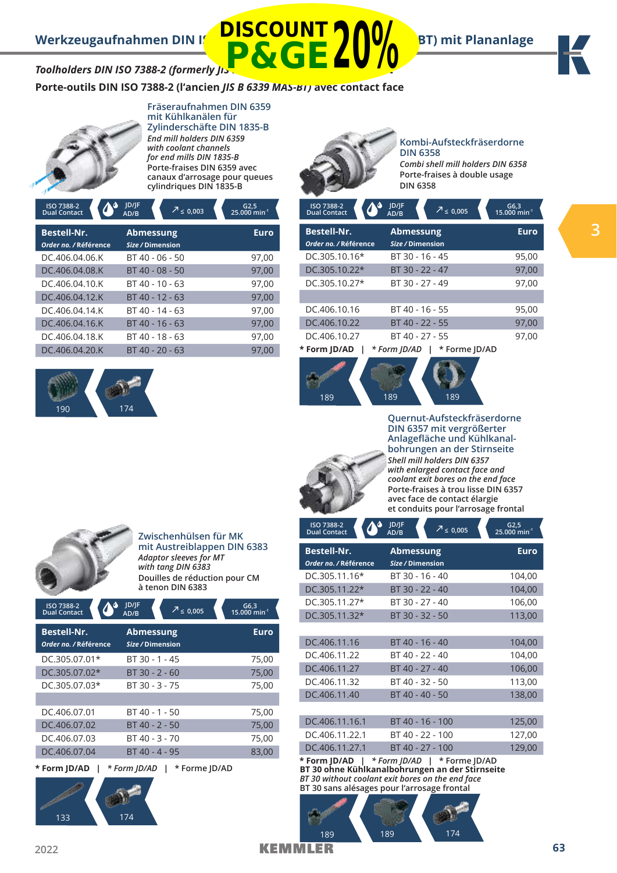

# **Toolholders DIN ISO 7388-2 (formerly JIS P&GE20%**

**Porte-outils DIN ISO 7388-2 (l'ancien** *JIS B 6339 MAS-BT)* **avec contact face**

**DISCOUNT**



### **Fräseraufnahmen DIN 6359 mit Kühlkanälen für Zylinderschäfte DIN 1835-B** *End mill holders DIN 6359 with coolant channels for end mills DIN 1835-B* **Porte-fraises DIN 6359 avec canaux d'arrosage pour queues cylindriques DIN 1835-B**

| ISO 7388-2<br><b>Dual Contact</b>           | <b>JD/JF</b><br>$\sqrt{2} \leq 0.003$<br>AD/B | $G2,5$<br>25.000 min <sup>-1</sup> |
|---------------------------------------------|-----------------------------------------------|------------------------------------|
| <b>Bestell-Nr.</b><br>Order no. / Référence | <b>Abmessung</b><br>Size / Dimension          | <b>Euro</b>                        |
| DC.406.04.06.K                              | BT 40 - 06 - 50                               | 97,00                              |
| DC.406.04.08.K                              | BT 40 - 08 - 50                               | 97,00                              |
| DC.406.04.10.K                              | $BT 40 - 10 - 63$                             | 97,00                              |
| DC.406.04.12.K                              | $BT 40 - 12 - 63$                             | 97.00                              |
| DC.406.04.14.K                              | BT 40 - 14 - 63                               | 97,00                              |
| DC.406.04.16.K                              | BT 40 - 16 - 63                               | 97,00                              |
| DC.406.04.18.K                              | BT 40 - 18 - 63                               | 97.00                              |
| DC.406.04.20.K                              | $BT 40 - 20 - 63$                             | 97.00                              |





### **Kombi-Aufsteckfräserdorne DIN 6358**

*Combi shell mill holders DIN 6358* **Porte-fraises à double usage DIN 6358**

| ISO 7388-2<br><b>Dual Contact</b>           | D/ F <br>$\sqrt{2}$ ≤ 0,005<br>AD/B  | G6,3<br>$15.000$ min <sup>-1</sup> |
|---------------------------------------------|--------------------------------------|------------------------------------|
| <b>Bestell-Nr.</b><br>Order no. / Référence | <b>Abmessung</b><br>Size / Dimension | <b>Euro</b>                        |
| DC.305.10.16*                               | BT 30 - 16 - 45                      | 95,00                              |
| $DC.305.10.22*$                             | BT 30 - 22 - 47                      | 97,00                              |
| DC.305.10.27*                               | BT 30 - 27 - 49                      | 97,00                              |
|                                             |                                      |                                    |
| DC.406.10.16                                | BT 40 - 16 - 55                      | 95,00                              |
| DC.406.10.22                                | BT 40 - 22 - 55                      | 97,00                              |
| DC.406.10.27                                | BT 40 - 27 - 55                      | 97,00                              |
| * Form JD/AD                                | * Form ID/AD<br>* Forme ID/AD        |                                    |





 **JD/JF** 

**Quernut-Aufsteckfräserdorne DIN 6357 mit vergrößerter Anlagefläche und Kühlkanalbohrungen an der Stirnseite** *Shell mill holders DIN 6357 with enlarged contact face and coolant exit bores on the end face* **Porte-fraises à trou lisse DIN 6357 avec face de contact élargie et conduits pour l'arrosage frontal**



**Zwischenhülsen für MK mit Austreiblappen DIN 6383**  *Adaptor sleeves for MT with tang DIN 6383* **Douilles de réduction pour CM à tenon DIN 6383**

| ISO 7388-2<br><b>Dual Contact</b>           | <b>JD/JF</b><br>AD/B                 | $\sqrt{2} \leq 0,005$ | $G6,3$<br>15.000 min <sup>-1</sup> |  |
|---------------------------------------------|--------------------------------------|-----------------------|------------------------------------|--|
| <b>Bestell-Nr.</b><br>Order no. / Référence | <b>Abmessung</b><br>Size / Dimension |                       | Euro                               |  |
| DC.305.07.01*                               | BT 30 - 1 - 45                       |                       | 75,00                              |  |
| DC.305.07.02*                               | $BT 30 - 2 - 60$                     |                       | 75,00                              |  |
| DC.305.07.03*                               | BT 30 - 3 - 75                       |                       | 75,00                              |  |
|                                             |                                      |                       |                                    |  |
| DC.406.07.01                                | BT 40 - 1 - 50                       |                       | 75,00                              |  |
| DC.406.07.02                                | BT 40 - 2 - 50                       |                       | 75,00                              |  |
| DC.406.07.03                                | BT 40 - 3 - 70                       |                       | 75,00                              |  |
| DC.406.07.04                                | BT 40 - 4 - 95                       |                       | 83,00                              |  |
| * Form JD/AD                                | * Form JD/AD                         | * Forme ID/AD         |                                    |  |

| ISO 7388-2<br>$\boldsymbol{C}$<br><b>Dual Contact</b>                                          | JD/JF<br>$\sqrt{2}$ $\leq$ 0,005<br>AD/B | $G2,5$<br>25.000 min <sup>-1</sup> |  |  |  |
|------------------------------------------------------------------------------------------------|------------------------------------------|------------------------------------|--|--|--|
| <b>Bestell-Nr.</b><br>Order no. / Référence                                                    | <b>Abmessung</b><br>Size / Dimension     | <b>Euro</b>                        |  |  |  |
| DC.305.11.16*                                                                                  | BT 30 - 16 - 40                          | 104,00                             |  |  |  |
| DC.305.11.22*                                                                                  | BT 30 - 22 - 40                          | 104,00                             |  |  |  |
| DC.305.11.27*                                                                                  | BT 30 - 27 - 40                          | 106,00                             |  |  |  |
| DC.305.11.32*                                                                                  | BT 30 - 32 - 50                          | 113,00                             |  |  |  |
|                                                                                                |                                          |                                    |  |  |  |
| DC.406.11.16                                                                                   | BT 40 - 16 - 40                          | 104,00                             |  |  |  |
| DC.406.11.22                                                                                   | BT 40 - 22 - 40                          | 104,00                             |  |  |  |
| DC.406.11.27                                                                                   | BT 40 - 27 - 40                          | 106,00                             |  |  |  |
| DC.406.11.32                                                                                   | BT 40 - 32 - 50                          | 113,00                             |  |  |  |
| DC.406.11.40                                                                                   | BT 40 - 40 - 50                          | 138,00                             |  |  |  |
|                                                                                                |                                          |                                    |  |  |  |
| DC.406.11.16.1                                                                                 | BT 40 - 16 - 100                         | 125,00                             |  |  |  |
| DC.406.11.22.1                                                                                 | BT 40 - 22 - 100                         | 127,00                             |  |  |  |
| DC.406.11.27.1                                                                                 | BT 40 - 27 - 100                         | 129,00                             |  |  |  |
| * Form JD/AD   * Form JD/AD   * Forme JD/AD<br>BT 30 ohne Kühlkanalbohrungen an der Stirnseite |                                          |                                    |  |  |  |

*BT 30 without coolant exit bores on the end face* **BT 30 sans alésages pour l'arrosage frontal**

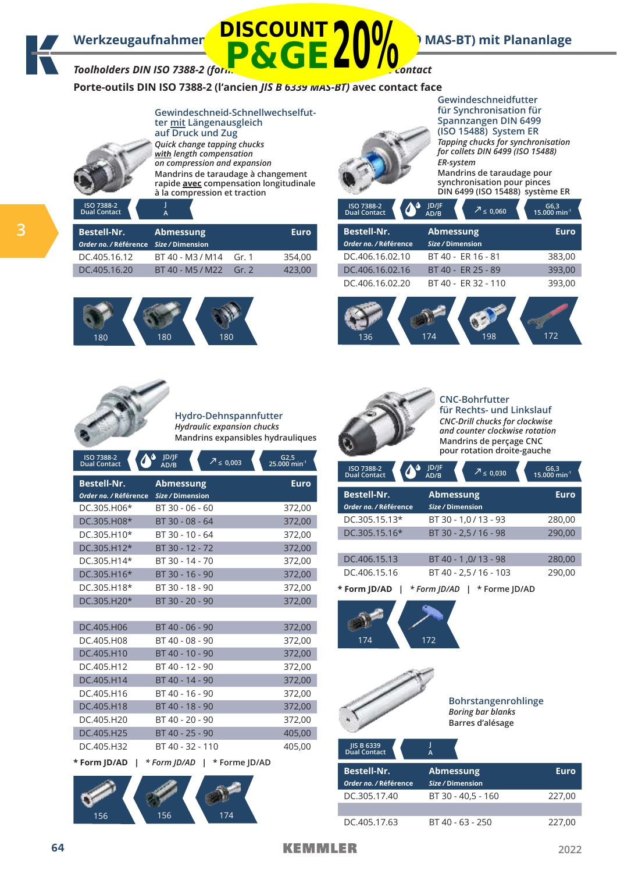# **Werkzeugaufnahmen DISCOUNT (Mas-BT)** MAS-BT) mit Plananlage

**Toolholders DIN ISO 7388-2 (formerly Jis B 6339 MAS-BT) with face contact P&GE20%**

180 180 180

**Porte-outils DIN ISO 7388-2 (l'ancien** *JIS B 6339 MAS-BT)* **avec contact face**



**ter mit Längenausgleich auf Druck und Zug** *Quick change tapping chucks*  **with** *length compensation on compression and expansion* **Mandrins de taraudage à changement rapide avec compensation longitudinale à la compression et traction**

**Gewindeschneid-Schnellwechselfut-**



**Gewindeschneidfutter für Synchronisation für Spannzangen DIN 6499 (ISO 15488) System ER** *Tapping chucks for synchronisation for collets DIN 6499 (ISO 15488) ER-system* **Mandrins de taraudage pour synchronisation pour pinces DIN 6499 (ISO 15488) système ER**

| ISO 7388-2<br><b>Dual Contact</b>                            |                  |       |             | ISO 7388-2<br><b>Dual Contact</b>           | JD/JF<br>$\sqrt{7} \le 0,060$<br>AD/B | $G6,3$<br>15.000 min <sup>-1</sup> |
|--------------------------------------------------------------|------------------|-------|-------------|---------------------------------------------|---------------------------------------|------------------------------------|
| <b>Bestell-Nr.</b><br>Order no. / Référence Size / Dimension | Abmessung        |       | <b>Euro</b> | <b>Bestell-Nr.</b><br>Order no. / Référence | Abmessung<br>Size / Dimension         | <b>Euro</b>                        |
| DC.405.16.12                                                 | BT 40 - M3 / M14 | Gr. 1 | 354.00      | DC.406.16.02.10                             | BT 40 - ER 16 - 81                    | 383,00                             |
| DC.405.16.20                                                 | BT 40 - M5 / M22 | Gr.2  | 423,00      | DC.406.16.02.16                             | BT 40 - ER 25 - 89                    | 393,00                             |
|                                                              |                  |       |             | DC.406.16.02.20                             | BT 40 - ER 32 - 110                   | 393,00                             |





**Hydro-Dehnspannfutter** *Hydraulic expansion chucks* **Mandrins expansibles hydrauliques**

| <b>ISO 7388-2</b><br><b>Dual Contact</b>    | ۵<br><b>ID/IF</b><br>$2 \le 0,003$<br>AD/B | G2,5<br>$25.000$ min <sup>-1</sup> |
|---------------------------------------------|--------------------------------------------|------------------------------------|
| <b>Bestell-Nr.</b><br>Order no. / Référence | <b>Abmessung</b><br>Size / Dimension       | <b>Euro</b>                        |
| DC.305.H06*                                 | BT 30 - 06 - 60                            | 372,00                             |
| DC.305.H08*                                 | BT 30 - 08 - 64                            | 372,00                             |
| DC.305.H10*                                 | BT 30 - 10 - 64                            | 372,00                             |
| DC.305.H12*                                 | BT 30 - 12 - 72                            | 372,00                             |
| DC.305.H14*                                 | BT 30 - 14 - 70                            | 372,00                             |
| DC.305.H16*                                 | BT 30 - 16 - 90                            | 372,00                             |
| DC.305.H18*                                 | BT 30 - 18 - 90                            | 372,00                             |
| DC.305.H20*                                 | BT 30 - 20 - 90                            | 372,00                             |
|                                             |                                            |                                    |
| DC.405.H06                                  | BT 40 - 06 - 90                            | 372,00                             |
| DC.405.H08                                  | BT 40 - 08 - 90                            | 372,00                             |
| DC.405.H10                                  | BT 40 - 10 - 90                            | 372,00                             |
| DC.405.H12                                  | BT 40 - 12 - 90                            | 372,00                             |
| DC.405.H14                                  | BT 40 - 14 - 90                            | 372,00                             |
| DC.405.H16                                  | BT 40 - 16 - 90                            | 372,00                             |
| DC.405.H18                                  | BT 40 - 18 - 90                            | 372,00                             |
| DC.405.H20                                  | BT 40 - 20 - 90                            | 372,00                             |
| DC.405.H25                                  | BT 40 - 25 - 90                            | 405,00                             |
| DC.405.H32                                  | BT 40 - 32 - 110                           | 405,00                             |
| * Form JD/AD                                | * Form ID/AD  <br>* Forme ID/AD            |                                    |





**CNC-Bohrfutter für Rechts- und Linkslauf** *CNC-Drill chucks for clockwise and counter clockwise rotation*

**Mandrins de perçage CNC pour rotation droite-gauche**

| ISO 7388-2<br><b>Dual Contact</b>           | JD/JF<br>$7 \le 0,030$<br>AD/B       | $G6,3$<br>15.000 min <sup>-1</sup> |
|---------------------------------------------|--------------------------------------|------------------------------------|
| <b>Bestell-Nr.</b><br>Order no. / Référence | <b>Abmessung</b><br>Size / Dimension | <b>Euro</b>                        |
| $DC.305.15.13*$                             | BT 30 - 1,0 / 13 - 93                | 280,00                             |
| DC.305.15.16*                               | BT 30 - 2,5 / 16 - 98                | 290,00                             |
| DC.406.15.13                                | BT 40 - 1,0/13 - 98                  | 280,00                             |
| DC.406.15.16                                | BT 40 - 2,5 / 16 - 103               | 290,00                             |
| * Form JD/AD                                | * Form ID/AD<br>* Forme ID/AD        |                                    |





**Bohrstangenrohlinge**  *Boring bar blanks*  **Barres d'alésage**